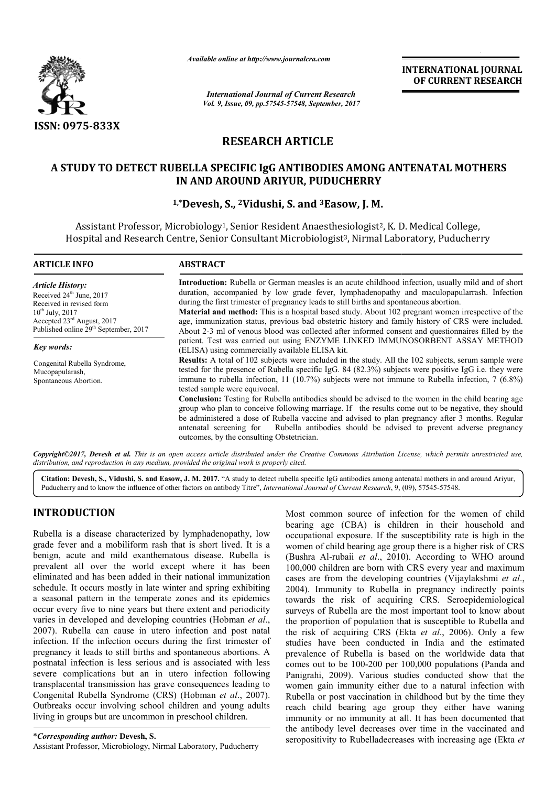

*Available online at http://www.journalcra.com*

*International Journal of Current Research Vol. 9, Issue, 09, pp.57545-57548, September, 2017* **INTERNATIONAL JOURNAL OF CURRENT RESEARCH**

# **RESEARCH ARTICLE**

### **A STUDY TO DETECT RUBELLA SPECIFIC IgG ANTIBODIES AMONG ANTENATAL MOTHERS RUBELLA SPECIFIC AMONG ANTENATAL IN AND AROUND ARIYUR, PUDUCHERRY**

## **1,\*Devesh Devesh, S., 2Vidushi, S. and 3Easow, J. M.**

Assistant Professor, Microbiology<sup>1</sup>, Senior Resident Anaesthesiologist<sup>2</sup>, K. D. Medical College, Hospital and Research Centre, Senior Consultant Microbiologist Microbiologist3, Nirmal Laboratory, Puducherry ,

| <b>ARTICLE INFO</b>                                                                                                                                                                                                | <b>ABSTRACT</b>                                                                                                                                                                                                                                                                                                                                                                                                                                                                                                                                                                                                                                                                                                                                                                                                   |
|--------------------------------------------------------------------------------------------------------------------------------------------------------------------------------------------------------------------|-------------------------------------------------------------------------------------------------------------------------------------------------------------------------------------------------------------------------------------------------------------------------------------------------------------------------------------------------------------------------------------------------------------------------------------------------------------------------------------------------------------------------------------------------------------------------------------------------------------------------------------------------------------------------------------------------------------------------------------------------------------------------------------------------------------------|
| <b>Article History:</b><br>Received 24 <sup>th</sup> June, 2017<br>Received in revised form<br>$10^{th}$ July, 2017<br>Accepted $23^{\text{rd}}$ August, 2017<br>Published online 29 <sup>th</sup> September, 2017 | <b>Introduction:</b> Rubella or German measles is an acute childhood infection, usually mild and of short<br>duration, accompanied by low grade fever, lymphadenopathy and maculopapularrash. Infection<br>during the first trimester of pregnancy leads to still births and spontaneous abortion.<br><b>Material and method:</b> This is a hospital based study. About 102 pregnant women irrespective of the<br>age, immunization status, previous bad obstetric history and family history of CRS were included.<br>About 2-3 ml of venous blood was collected after informed consent and questionnaires filled by the                                                                                                                                                                                         |
| <b>Key words:</b>                                                                                                                                                                                                  | patient. Test was carried out using ENZYME LINKED IMMUNOSORBENT ASSAY METHOD<br>(ELISA) using commercially available ELISA kit.                                                                                                                                                                                                                                                                                                                                                                                                                                                                                                                                                                                                                                                                                   |
| Congenital Rubella Syndrome,<br>Mucopapularash,<br>Spontaneous Abortion.                                                                                                                                           | Results: A total of 102 subjects were included in the study. All the 102 subjects, serum sample were<br>tested for the presence of Rubella specific IgG. 84 (82.3%) subjects were positive IgG i.e. they were<br>immune to rubella infection, 11 (10.7%) subjects were not immune to Rubella infection, 7 (6.8%)<br>tested sample were equivocal.<br><b>Conclusion:</b> Testing for Rubella antibodies should be advised to the women in the child bearing age<br>group who plan to conceive following marriage. If the results come out to be negative, they should<br>be administered a dose of Rubella vaccine and advised to plan pregnancy after 3 months. Regular<br>antenatal screening for Rubella antibodies should be advised to prevent adverse pregnancy<br>outcomes, by the consulting Obstetrician. |

Copyright©2017, Devesh et al. This is an open access article distributed under the Creative Commons Attribution License, which permits unrestricted use, *distribution, and reproduction in any medium, provided the original work is properly cited.*

Citation: Devesh, S., Vidushi, S. and Easow, J. M. 2017. "A study to detect rubella specific IgG antibodies among antenatal mothers in and around Ariyur, Puducherry and to know the influence of other factors on antibody Ti Puducherry and to know the influence of other factors on antibody Titre", *International Journal of Current Research*, 9, (09)

# **INTRODUCTION**

Rubella is a disease characterized by lymphadenopathy, low grade fever and a mobiliform rash that is short lived. It is a benign, acute and mild exanthematous disease. Rubella is prevalent all over the world except where it has been eliminated and has been added in their national immunization schedule. It occurs mostly in late winter and spring exhibiting a seasonal pattern in the temperate zones and its epidemics occur every five to nine years but there extent and periodicity varies in developed and developing countries (Hobman *et al*., 2007). Rubella can cause in utero infection and post natal infection. If the infection occurs during the first trimester of pregnancy it leads to still births and spontaneous abortions. A postnatal infection is less serious and is associated with less severe complications but an in utero infection following transplacental transmission has grave consequences leading to 2007). Rubella can cause in utero infection and post natal infection. If the infection occurs during the first trimester of pregnancy it leads to still births and spontaneous abortions. A postnatal infection is less seriou Outbreaks occur involving school children and young adults living in groups but are uncommon in preschool children.

\**Corresponding author:* **Devesh, S.** Assistant Professor, Microbiology, Nirmal Laboratory, Puducherry Most common source of infection for the women of child bearing age (CBA) is children in their household and occupational exposure. If the susceptibility rate is high in the women of child bearing age group there is a higher risk of CRS Most common source of infection for the women of child bearing age (CBA) is children in their household and occupational exposure. If the susceptibility rate is high in the women of child bearing age group there is a highe 100,000 children are born with CRS every year and maximum 100,000 children are born with CRS every year and maximum cases are from the developing countries (Vijaylakshmi *et al.*, 2004). Immunity to Rubella in pregnancy indirectly points 2004). Immunity to Rubella in pregnancy indirectly points towards the risk of acquiring CRS. Seroepidemiological surveys of Rubella are the most important tool to know about the proportion of population that is susceptible to Rubella and surveys of Rubella are the most important tool to know about<br>the proportion of population that is susceptible to Rubella and<br>the risk of acquiring CRS (Ekta *et al.*, 2006). Only a few studies have been conducted in India and the estimated prevalence of Rubella is based on the worldwide data that studies have been conducted in India and the estimated<br>prevalence of Rubella is based on the worldwide data that<br>comes out to be 100-200 per 100,000 populations (Panda and Panigrahi, 2009). Various studies conducted show that the women gain immunity either due to a natural infection with Rubella or post vaccination in childhood but by the time they reach child bearing age group they either have waning immunity or no immunity at all. It has been documented that the antibody level decreases over time in the vaccinated and seropositivity to Rubelladecreases with increasing age (Ekta et Panigrahi, 2009). Various studies conducted show that the women gain immunity either due to a natural infection with Rubella or post vaccination in childhood but by the time they reach child bearing age group they either h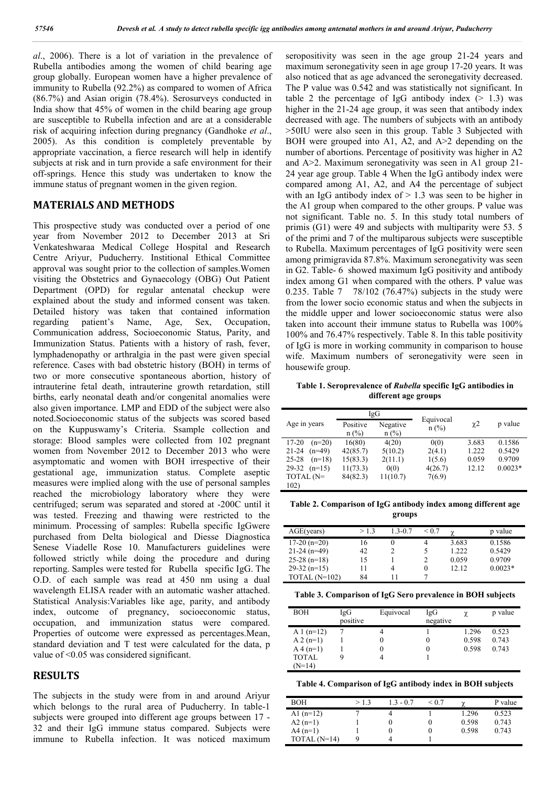*al*., 2006). There is a lot of variation in the prevalence of Rubella antibodies among the women of child bearing age group globally. European women have a higher prevalence of immunity to Rubella (92.2%) as compared to women of Africa (86.7%) and Asian origin (78.4%). Serosurveys conducted in India show that 45% of women in the child bearing age group are susceptible to Rubella infection and are at a considerable risk of acquiring infection during pregnancy (Gandhoke *et al*., 2005). As this condition is completely preventable by appropriate vaccination, a fierce research will help in identify subjects at risk and in turn provide a safe environment for their off-springs. Hence this study was undertaken to know the immune status of pregnant women in the given region.

### **MATERIALS AND METHODS**

This prospective study was conducted over a period of one year from November 2012 to December 2013 at Sri Venkateshwaraa Medical College Hospital and Research Centre Ariyur, Puducherry. Institional Ethical Committee approval was sought prior to the collection of samples.Women visiting the Obstetrics and Gynaecology (OBG) Out Patient Department (OPD) for regular antenatal checkup were explained about the study and informed consent was taken. Detailed history was taken that contained information regarding patient's Name, Age, Sex, Occupation, Communication address, Socioeconomic Status, Parity, and Immunization Status. Patients with a history of rash, fever, lymphadenopathy or arthralgia in the past were given special reference. Cases with bad obstetric history (BOH) in terms of two or more consecutive spontaneous abortion, history of intrauterine fetal death, intrauterine growth retardation, still births, early neonatal death and/or congenital anomalies were also given importance. LMP and EDD of the subject were also noted.Socioeconomic status of the subjects was scored based on the Kuppuswamy's Criteria. Ssample collection and storage: Blood samples were collected from 102 pregnant women from November 2012 to December 2013 who were asymptomatic and women with BOH irrespective of their gestational age, immunization status. Complete aseptic measures were implied along with the use of personal samples reached the microbiology laboratory where they were centrifuged; serum was separated and stored at -200C until it was tested. Freezing and thawing were restricted to the minimum. Processing of samples: Rubella specific IgGwere purchased from Delta biological and Diesse Diagnostica Senese Viadelle Rose 10. Manufacturers guidelines were followed strictly while doing the procedure and during reporting. Samples were tested for Rubella specific IgG. The O.D. of each sample was read at 450 nm using a dual wavelength ELISA reader with an automatic washer attached. Statistical Analysis:Variables like age, parity, and antibody index, outcome of pregnancy, socioeconomic status, occupation, and immunization status were compared. Properties of outcome were expressed as percentages.Mean, standard deviation and T test were calculated for the data, p value of <0.05 was considered significant.

#### **RESULTS**

The subjects in the study were from in and around Ariyur which belongs to the rural area of Puducherry. In table-1 subjects were grouped into different age groups between 17 - 32 and their IgG immune status compared. Subjects were immune to Rubella infection. It was noticed maximum

seropositivity was seen in the age group 21-24 years and maximum seronegativity seen in age group 17-20 years. It was also noticed that as age advanced the seronegativity decreased. The P value was 0.542 and was statistically not significant. In table 2 the percentage of IgG antibody index  $(> 1.3)$  was higher in the 21-24 age group, it was seen that antibody index decreased with age. The numbers of subjects with an antibody >50IU were also seen in this group. Table 3 Subjected with BOH were grouped into A1, A2, and  $A \geq 2$  depending on the number of abortions. Percentage of positivity was higher in A2 and A>2. Maximum seronegativity was seen in A1 group 21- 24 year age group. Table 4 When the IgG antibody index were compared among A1, A2, and A4 the percentage of subject with an IgG antibody index of  $> 1.3$  was seen to be higher in the A1 group when compared to the other groups. P value was not significant. Table no. 5. In this study total numbers of primis (G1) were 49 and subjects with multiparity were 53. 5 of the primi and 7 of the multiparous subjects were susceptible to Rubella. Maximum percentages of IgG positivity were seen among primigravida 87.8%. Maximum seronegativity was seen in G2. Table- 6 showed maximum IgG positivity and antibody index among G1 when compared with the others. P value was 0.235. Table 7 78/102 (76.47%) subjects in the study were from the lower socio economic status and when the subjects in the middle upper and lower socioeconomic status were also taken into account their immune status to Rubella was 100% 100% and 76.47% respectively. Table 8. In this table positivity of IgG is more in working community in comparison to house wife. Maximum numbers of seronegativity were seen in housewife group.

**Table 1. Seroprevalence of** *Rubella* **specific IgG antibodies in different age groups**

|                       | IgG      |          | Equivocal |          |           |
|-----------------------|----------|----------|-----------|----------|-----------|
| Age in years          | Positive | Negative | $n$ (%)   | $\chi$ 2 | p value   |
|                       | $n$ (%)  | $n$ (%)  |           |          |           |
| $17 - 20$<br>$(n=20)$ | 16(80)   | 4(20)    | 0(0)      | 3.683    | 0.1586    |
| $21 - 24$<br>$(n=49)$ | 42(85.7) | 5(10.2)  | 2(4.1)    | 1.222    | 0.5429    |
| $25 - 28$<br>$(n=18)$ | 15(83.3) | 2(11.1)  | 1(5.6)    | 0.059    | 0.9709    |
| 29-32<br>$(n=15)$     | 11(73.3) | 0(0)     | 4(26.7)   | 12.12    | $0.0023*$ |
| TOTAL $(N=$           | 84(82.3) | 11(10.7) | 7(6.9)    |          |           |
| 102)                  |          |          |           |          |           |

**Table 2. Comparison of IgG antibody index among different age groups**

| AGE(years)    | >1.3 | $1.3 - 0.7$ | < 0.7 | γ     | p value   |
|---------------|------|-------------|-------|-------|-----------|
| $17-20(n=20)$ | 16   | $_{0}$      | 4     | 3.683 | 0.1586    |
| $21-24(n=49)$ | 42   |             | 5     | 1.222 | 0.5429    |
| $25-28(n=18)$ | 15   |             |       | 0.059 | 0.9709    |
| $29-32(n=15)$ | 11   | 4           | 0     | 12.12 | $0.0023*$ |
| TOTAL (N=102) | 84   |             |       |       |           |

**Table 3. Comparison of IgG Sero prevalence in BOH subjects**

| <b>BOH</b>   | IgG<br>positive | Equivocal | IgG<br>negative |       | p value |
|--------------|-----------------|-----------|-----------------|-------|---------|
| A 1 $(n=12)$ |                 |           |                 | 1.296 | 0.523   |
| $A 2(n=1)$   |                 | 0         |                 | 0.598 | 0.743   |
| $A\ 4(n=1)$  |                 | 0         |                 | 0.598 | 0.743   |
| <b>TOTAL</b> |                 |           |                 |       |         |
| $(N=14)$     |                 |           |                 |       |         |

**Table 4. Comparison of IgG antibody index in BOH subjects**

| <b>BOH</b>     | >13 | $1.3 - 0.7$ | ${}^{<}$ 0.7 |       | P value |
|----------------|-----|-------------|--------------|-------|---------|
| A1 $(n=12)$    |     |             |              | 1.296 | 0.523   |
| $A2(n=1)$      |     |             |              | 0.598 | 0.743   |
| $A4(n=1)$      |     |             |              | 0.598 | 0.743   |
| TOTAL $(N=14)$ |     |             |              |       |         |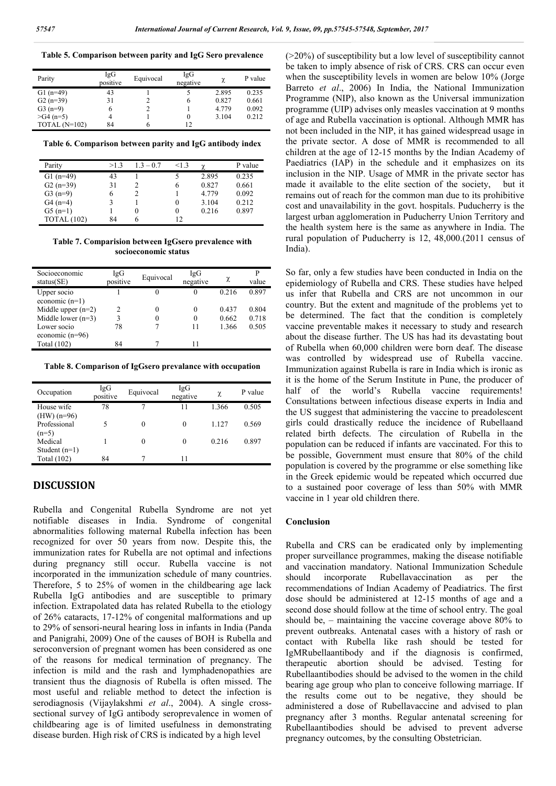**Table 5. Comparison between parity and IgG Sero prevalence**

| Parity          | IgG<br>positive | Equivocal | IgG<br>negative | χ     | P value |
|-----------------|-----------------|-----------|-----------------|-------|---------|
| $G1(n=49)$      | 43              |           |                 | 2.895 | 0.235   |
| $G2(n=39)$      | 31              |           | 6               | 0.827 | 0.661   |
| $G3(n=9)$       | 6               |           |                 | 4.779 | 0.092   |
| $>$ G4 (n=5)    | 4               |           |                 | 3.104 | 0.212   |
| TOTAL $(N=102)$ | 84              | h         | 12              |       |         |

**Table 6. Comparison between parity and IgG antibody index**

| Parity      | >1.3 | $1.3 - 0.7$ | <13 | $\gamma$ | P value |
|-------------|------|-------------|-----|----------|---------|
| G1 $(n=49)$ | 43   |             |     | 2.895    | 0.235   |
| $G2(n=39)$  | 31   |             | 6   | 0.827    | 0.661   |
| $G3(n=9)$   | 6    |             |     | 4.779    | 0.092   |
| $G4(n=4)$   |      |             | 0   | 3.104    | 0.212   |
| $G5(n=1)$   |      | $\theta$    | 0   | 0.216    | 0.897   |
| TOTAL (102) | 84   |             | 12  |          |         |

**Table 7. Comparision between IgGsero prevalence with socioeconomic status**

| Socioeconomic<br>status(SE) | IgG<br>positive | Equivocal | IgG<br>negative | χ     | value |
|-----------------------------|-----------------|-----------|-----------------|-------|-------|
| Upper socio                 |                 |           | $\theta$        | 0.216 | 0.897 |
| economic $(n=1)$            |                 |           |                 |       |       |
| Middle upper $(n=2)$        | 2               |           |                 | 0.437 | 0.804 |
| Middle lower $(n=3)$        |                 |           |                 | 0.662 | 0.718 |
| Lower socio                 | 78              |           |                 | 1.366 | 0.505 |
| economic $(n=96)$           |                 |           |                 |       |       |
| Total (102)                 | 84              |           |                 |       |       |

**Table 8. Comparison of IgGsero prevalance with occupation**

| Occupation                    | IgG<br>positive | Equivocal | IgG<br>negative | χ     | P value |
|-------------------------------|-----------------|-----------|-----------------|-------|---------|
| House wife                    | 78              | 7         | 11              | 1.366 | 0.505   |
| $(HW)$ (n=96)<br>Professional | 5               | 0         | $\Omega$        | 1.127 | 0.569   |
| $(n=5)$                       |                 |           |                 |       |         |
| Medical                       |                 | 0         | $\theta$        | 0.216 | 0.897   |
| Student $(n=1)$               |                 |           |                 |       |         |
| Total (102)                   | 84              |           | 11              |       |         |

### **DISCUSSION**

Rubella and Congenital Rubella Syndrome are not yet notifiable diseases in India. Syndrome of congenital abnormalities following maternal Rubella infection has been recognized for over 50 years from now. Despite this, the immunization rates for Rubella are not optimal and infections during pregnancy still occur. Rubella vaccine is not incorporated in the immunization schedule of many countries. Therefore, 5 to 25% of women in the childbearing age lack Rubella IgG antibodies and are susceptible to primary infection. Extrapolated data has related Rubella to the etiology of 26% cataracts, 17-12% of congenital malformations and up to 29% of sensori-neural hearing loss in infants in India (Panda and Panigrahi, 2009) One of the causes of BOH is Rubella and seroconversion of pregnant women has been considered as one of the reasons for medical termination of pregnancy. The infection is mild and the rash and lymphadenopathies are transient thus the diagnosis of Rubella is often missed. The most useful and reliable method to detect the infection is serodiagnosis (Vijaylakshmi *et al*., 2004). A single crosssectional survey of IgG antibody seroprevalence in women of childbearing age is of limited usefulness in demonstrating disease burden. High risk of CRS is indicated by a high level

(>20%) of susceptibility but a low level of susceptibility cannot be taken to imply absence of risk of CRS. CRS can occur even when the susceptibility levels in women are below 10% (Jorge Barreto *et al*., 2006) In India, the National Immunization Programme (NIP), also known as the Universal immunization programme (UIP) advises only measles vaccination at 9 months of age and Rubella vaccination is optional. Although MMR has not been included in the NIP, it has gained widespread usage in the private sector. A dose of MMR is recommended to all children at the age of 12-15 months by the Indian Academy of Paediatrics (IAP) in the schedule and it emphasizes on its inclusion in the NIP. Usage of MMR in the private sector has made it available to the elite section of the society, but it remains out of reach for the common man due to its prohibitive cost and unavailability in the govt. hospitals. Puducherry is the largest urban agglomeration in Puducherry Union Territory and the health system here is the same as anywhere in India. The rural population of Puducherry is 12, 48,000.(2011 census of India).

So far, only a few studies have been conducted in India on the epidemiology of Rubella and CRS. These studies have helped us infer that Rubella and CRS are not uncommon in our country. But the extent and magnitude of the problems yet to be determined. The fact that the condition is completely vaccine preventable makes it necessary to study and research about the disease further. The US has had its devastating bout of Rubella when 60,000 children were born deaf. The disease was controlled by widespread use of Rubella vaccine. Immunization against Rubella is rare in India which is ironic as it is the home of the Serum Institute in Pune, the producer of half of the world's Rubella vaccine requirements! Consultations between infectious disease experts in India and the US suggest that administering the vaccine to preadolescent girls could drastically reduce the incidence of Rubellaand related birth defects. The circulation of Rubella in the population can be reduced if infants are vaccinated. For this to be possible, Government must ensure that 80% of the child population is covered by the programme or else something like in the Greek epidemic would be repeated which occurred due to a sustained poor coverage of less than 50% with MMR vaccine in 1 year old children there.

#### **Conclusion**

Rubella and CRS can be eradicated only by implementing proper surveillance programmes, making the disease notifiable and vaccination mandatory. National Immunization Schedule should incorporate Rubellavaccination as per the recommendations of Indian Academy of Peadiatrics. The first dose should be administered at 12-15 months of age and a second dose should follow at the time of school entry. The goal should be, – maintaining the vaccine coverage above 80% to prevent outbreaks. Antenatal cases with a history of rash or contact with Rubella like rash should be tested for IgMRubellaantibody and if the diagnosis is confirmed, therapeutic abortion should be advised. Testing for Rubellaantibodies should be advised to the women in the child bearing age group who plan to conceive following marriage. If the results come out to be negative, they should be administered a dose of Rubellavaccine and advised to plan pregnancy after 3 months. Regular antenatal screening for Rubellaantibodies should be advised to prevent adverse pregnancy outcomes, by the consulting Obstetrician.